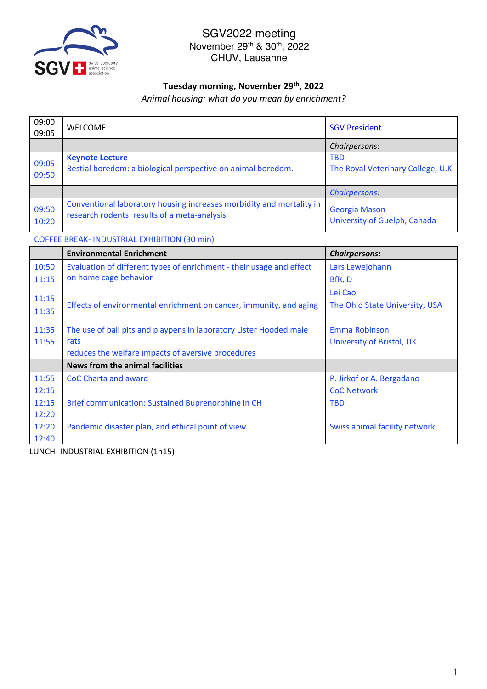

#### **Tuesday morning, November 29th, 2022**

*Animal housing: what do you mean by enrichment?*

| 09:00<br>09:05  | <b>WELCOME</b>                                                                                                       | <b>SGV President</b>                            |
|-----------------|----------------------------------------------------------------------------------------------------------------------|-------------------------------------------------|
|                 |                                                                                                                      | Chairpersons:                                   |
| 09:05-<br>09:50 | <b>Keynote Lecture</b><br>Bestial boredom: a biological perspective on animal boredom.                               | <b>TBD</b><br>The Royal Veterinary College, U.K |
|                 |                                                                                                                      | <b>Chairpersons:</b>                            |
| 09:50<br>10:20  | Conventional laboratory housing increases morbidity and mortality in<br>research rodents: results of a meta-analysis | Georgia Mason<br>University of Guelph, Canada   |

COFFEE BREAK- INDUSTRIAL EXHIBITION (30 min)

|       | <b>Environmental Enrichment</b>                                      | <b>Chairpersons:</b>           |
|-------|----------------------------------------------------------------------|--------------------------------|
| 10:50 | Evaluation of different types of enrichment - their usage and effect | Lars Lewejohann                |
| 11:15 | on home cage behavior                                                | BfR, D                         |
|       |                                                                      | Lei Cao                        |
| 11:15 | Effects of environmental enrichment on cancer, immunity, and aging   | The Ohio State University, USA |
| 11:35 |                                                                      |                                |
| 11:35 | The use of ball pits and playpens in laboratory Lister Hooded male   | Emma Robinson                  |
| 11:55 | rats                                                                 | University of Bristol, UK      |
|       | reduces the welfare impacts of aversive procedures                   |                                |
|       | <b>News from the animal facilities</b>                               |                                |
| 11:55 | <b>CoC Charta and award</b>                                          | P. Jirkof or A. Bergadano      |
| 12:15 |                                                                      | <b>CoC Network</b>             |
| 12:15 | Brief communication: Sustained Buprenorphine in CH                   | <b>TBD</b>                     |
| 12:20 |                                                                      |                                |
| 12:20 | Pandemic disaster plan, and ethical point of view                    | Swiss animal facility network  |
| 12:40 |                                                                      |                                |

LUNCH- INDUSTRIAL EXHIBITION (1h15)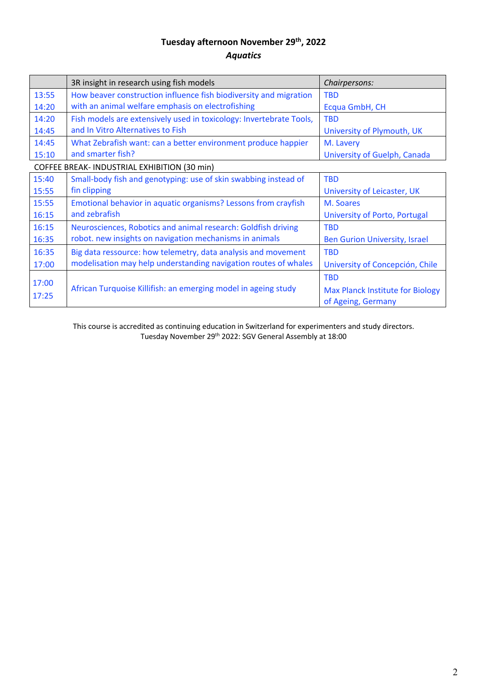# **Tuesday afternoon November 29th, 2022** *Aquatics*

|                                              | 3R insight in research using fish models                            | Chairpersons:                           |
|----------------------------------------------|---------------------------------------------------------------------|-----------------------------------------|
| 13:55                                        | How beaver construction influence fish biodiversity and migration   | <b>TBD</b>                              |
| 14:20                                        | with an animal welfare emphasis on electrofishing                   | Ecqua GmbH, CH                          |
| 14:20                                        | Fish models are extensively used in toxicology: Invertebrate Tools, | <b>TBD</b>                              |
| 14:45                                        | and In Vitro Alternatives to Fish                                   | University of Plymouth, UK              |
| 14:45                                        | What Zebrafish want: can a better environment produce happier       | M. Lavery                               |
| 15:10                                        | and smarter fish?                                                   | University of Guelph, Canada            |
| COFFEE BREAK- INDUSTRIAL EXHIBITION (30 min) |                                                                     |                                         |
| 15:40                                        | Small-body fish and genotyping: use of skin swabbing instead of     | <b>TBD</b>                              |
| 15:55                                        | fin clipping                                                        | University of Leicaster, UK             |
| 15:55                                        | Emotional behavior in aquatic organisms? Lessons from crayfish      | M. Soares                               |
| 16:15                                        | and zebrafish                                                       | University of Porto, Portugal           |
| 16:15                                        | Neurosciences, Robotics and animal research: Goldfish driving       | <b>TBD</b>                              |
| 16:35                                        | robot. new insights on navigation mechanisms in animals             | <b>Ben Gurion University, Israel</b>    |
| 16:35                                        | Big data ressource: how telemetry, data analysis and movement       | <b>TBD</b>                              |
| 17:00                                        | modelisation may help understanding navigation routes of whales     | University of Concepción, Chile         |
|                                              |                                                                     | <b>TBD</b>                              |
| 17:00                                        | African Turquoise Killifish: an emerging model in ageing study      | <b>Max Planck Institute for Biology</b> |
| 17:25                                        |                                                                     | of Ageing, Germany                      |

This course is accredited as continuing education in Switzerland for experimenters and study directors. Tuesday November 29th 2022: SGV General Assembly at 18:00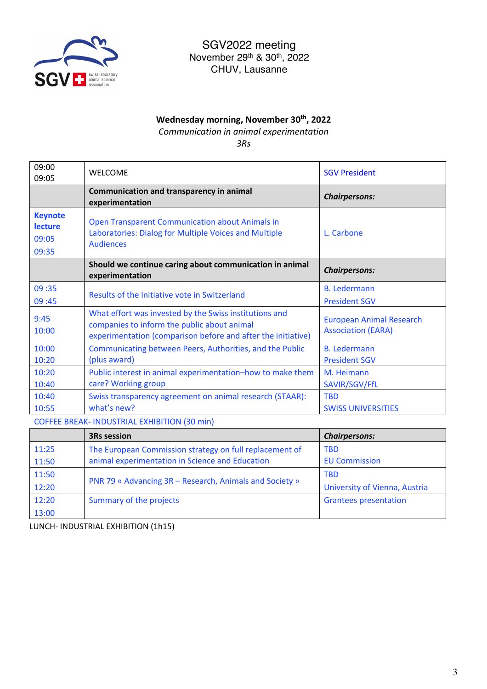

## **Wednesday morning, November 30th, 2022**

*Communication in animal experimentation*

*3Rs*

| 09:00<br>09:05                                     | <b>WELCOME</b>                                                                                                                                                        | <b>SGV President</b>                                         |
|----------------------------------------------------|-----------------------------------------------------------------------------------------------------------------------------------------------------------------------|--------------------------------------------------------------|
|                                                    | Communication and transparency in animal<br>experimentation                                                                                                           | <b>Chairpersons:</b>                                         |
| <b>Keynote</b><br><b>lecture</b><br>09:05<br>09:35 | <b>Open Transparent Communication about Animals in</b><br>Laboratories: Dialog for Multiple Voices and Multiple<br><b>Audiences</b>                                   | L. Carbone                                                   |
|                                                    | Should we continue caring about communication in animal<br>experimentation                                                                                            | <b>Chairpersons:</b>                                         |
| 09:35<br>09:45                                     | Results of the Initiative vote in Switzerland                                                                                                                         | <b>B.</b> Ledermann<br><b>President SGV</b>                  |
| 9:45<br>10:00                                      | What effort was invested by the Swiss institutions and<br>companies to inform the public about animal<br>experimentation (comparison before and after the initiative) | <b>European Animal Research</b><br><b>Association (EARA)</b> |
| 10:00<br>10:20                                     | Communicating between Peers, Authorities, and the Public<br>(plus award)                                                                                              | <b>B.</b> Ledermann<br><b>President SGV</b>                  |
| 10:20<br>10:40                                     | Public interest in animal experimentation-how to make them<br>care? Working group                                                                                     | M. Heimann<br>SAVIR/SGV/FfL                                  |
| 10:40<br>10:55                                     | Swiss transparency agreement on animal research (STAAR):<br>what's new?                                                                                               | <b>TBD</b><br><b>SWISS UNIVERSITIES</b>                      |

COFFEE BREAK- INDUSTRIAL EXHIBITION (30 min)

|       | <b>3Rs session</b>                                      | <b>Chairpersons:</b>          |
|-------|---------------------------------------------------------|-------------------------------|
| 11:25 | The European Commission strategy on full replacement of | <b>TBD</b>                    |
| 11:50 | animal experimentation in Science and Education         | <b>EU Commission</b>          |
| 11:50 | PNR 79 « Advancing 3R – Research, Animals and Society » | <b>TBD</b>                    |
| 12:20 |                                                         | University of Vienna, Austria |
| 12:20 | Summary of the projects                                 | <b>Grantees presentation</b>  |
| 13:00 |                                                         |                               |

LUNCH- INDUSTRIAL EXHIBITION (1h15)